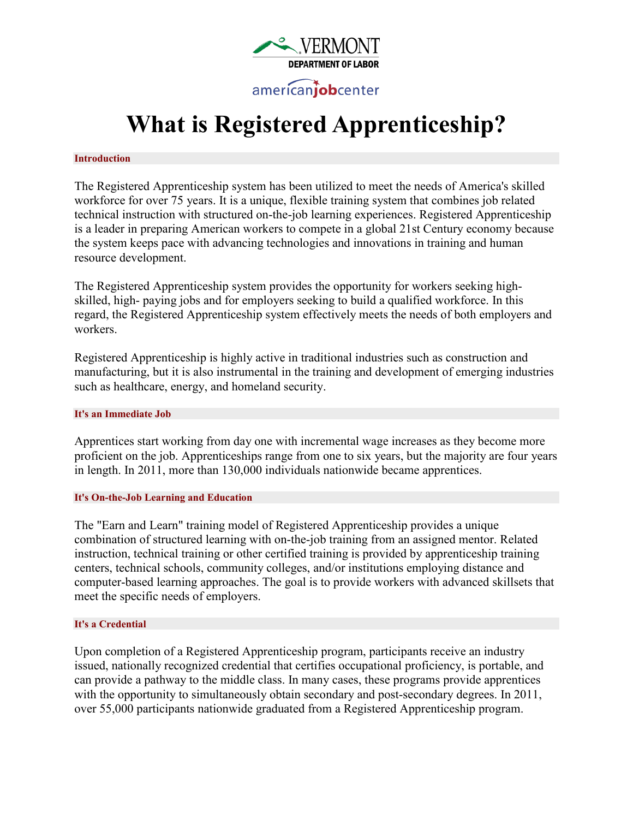

# **What is Registered Apprenticeship?**

#### **Introduction**

The Registered Apprenticeship system has been utilized to meet the needs of America's skilled workforce for over 75 years. It is a unique, flexible training system that combines job related technical instruction with structured on-the-job learning experiences. Registered Apprenticeship is a leader in preparing American workers to compete in a global 21st Century economy because the system keeps pace with advancing technologies and innovations in training and human resource development.

The Registered Apprenticeship system provides the opportunity for workers seeking highskilled, high- paying jobs and for employers seeking to build a qualified workforce. In this regard, the Registered Apprenticeship system effectively meets the needs of both employers and workers.

Registered Apprenticeship is highly active in traditional industries such as construction and manufacturing, but it is also instrumental in the training and development of emerging industries such as healthcare, energy, and homeland security.

#### **It's an Immediate Job**

Apprentices start working from day one with incremental wage increases as they become more proficient on the job. Apprenticeships range from one to six years, but the majority are four years in length. In 2011, more than 130,000 individuals nationwide became apprentices.

# **It's On-the-Job Learning and Education**

The "Earn and Learn" training model of Registered Apprenticeship provides a unique combination of structured learning with on-the-job training from an assigned mentor. Related instruction, technical training or other certified training is provided by apprenticeship training centers, technical schools, community colleges, and/or institutions employing distance and computer-based learning approaches. The goal is to provide workers with advanced skillsets that meet the specific needs of employers.

# **It's a Credential**

Upon completion of a Registered Apprenticeship program, participants receive an industry issued, nationally recognized credential that certifies occupational proficiency, is portable, and can provide a pathway to the middle class. In many cases, these programs provide apprentices with the opportunity to simultaneously obtain secondary and post-secondary degrees. In 2011, over 55,000 participants nationwide graduated from a Registered Apprenticeship program.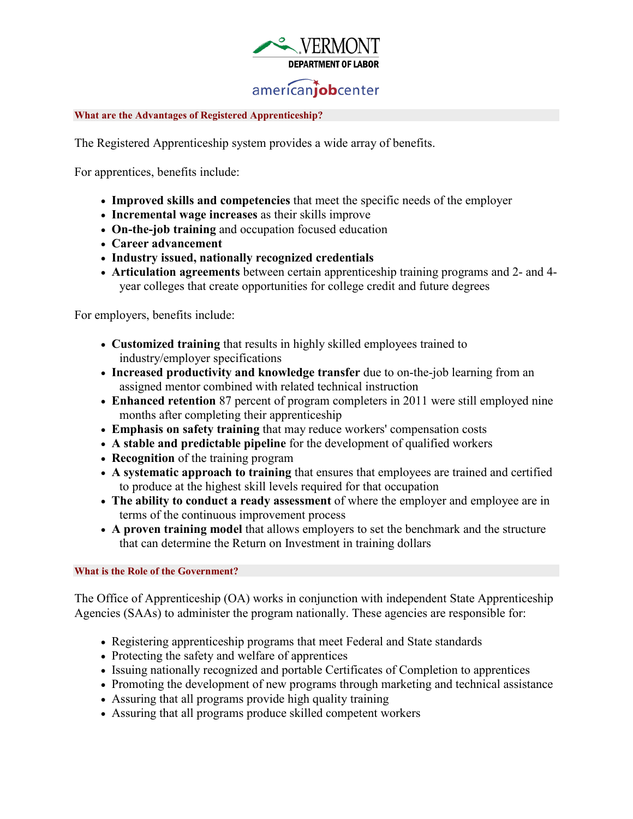

# americanjobcenter

### **What are the Advantages of Registered Apprenticeship?**

The Registered Apprenticeship system provides a wide array of benefits.

For apprentices, benefits include:

- **Improved skills and competencies** that meet the specific needs of the employer
- **Incremental wage increases** as their skills improve
- **On-the-job training** and occupation focused education
- **Career advancement**
- **Industry issued, nationally recognized credentials**
- **Articulation agreements** between certain apprenticeship training programs and 2- and 4 year colleges that create opportunities for college credit and future degrees

For employers, benefits include:

- **Customized training** that results in highly skilled employees trained to industry/employer specifications
- **Increased productivity and knowledge transfer** due to on-the-job learning from an assigned mentor combined with related technical instruction
- **Enhanced retention** 87 percent of program completers in 2011 were still employed nine months after completing their apprenticeship
- **Emphasis on safety training** that may reduce workers' compensation costs
- **A stable and predictable pipeline** for the development of qualified workers
- **Recognition** of the training program
- **A systematic approach to training** that ensures that employees are trained and certified to produce at the highest skill levels required for that occupation
- **The ability to conduct a ready assessment** of where the employer and employee are in terms of the continuous improvement process
- **A proven training model** that allows employers to set the benchmark and the structure that can determine the Return on Investment in training dollars

**What is the Role of the Government?**

The Office of Apprenticeship (OA) works in conjunction with independent State Apprenticeship Agencies (SAAs) to administer the program nationally. These agencies are responsible for:

- Registering apprenticeship programs that meet Federal and State standards
- Protecting the safety and welfare of apprentices
- Issuing nationally recognized and portable Certificates of Completion to apprentices
- Promoting the development of new programs through marketing and technical assistance
- Assuring that all programs provide high quality training
- Assuring that all programs produce skilled competent workers